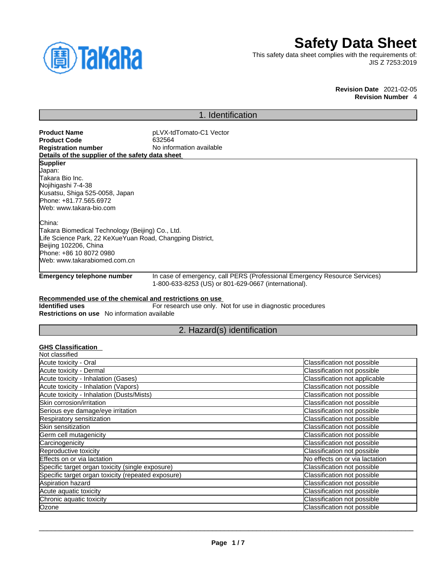

# **Safety Data Sheet**

This safety data sheet complies with the requirements of: JIS Z 7253:2019

> **Revision Date** 2021-02-05 **Revision Number** 4

# 1. Identification

| <b>Product Name</b>                                       | pLVX-tdTomato-C1 Vector                                     |                                                                            |
|-----------------------------------------------------------|-------------------------------------------------------------|----------------------------------------------------------------------------|
| <b>Product Code</b>                                       | 632564                                                      |                                                                            |
| <b>Registration number</b>                                | No information available                                    |                                                                            |
| Details of the supplier of the safety data sheet          |                                                             |                                                                            |
| <b>Supplier</b>                                           |                                                             |                                                                            |
| Japan:<br>Takara Bio Inc.                                 |                                                             |                                                                            |
| Nojihigashi 7-4-38                                        |                                                             |                                                                            |
| Kusatsu, Shiga 525-0058, Japan                            |                                                             |                                                                            |
| Phone: +81.77.565.6972                                    |                                                             |                                                                            |
| Web: www.takara-bio.com                                   |                                                             |                                                                            |
| China:                                                    |                                                             |                                                                            |
| Takara Biomedical Technology (Beijing) Co., Ltd.          |                                                             |                                                                            |
| Life Science Park, 22 KeXueYuan Road, Changping District, |                                                             |                                                                            |
| Beijing 102206, China                                     |                                                             |                                                                            |
| Phone: +86 10 8072 0980                                   |                                                             |                                                                            |
| Web: www.takarabiomed.com.cn                              |                                                             |                                                                            |
|                                                           |                                                             |                                                                            |
| <b>Emergency telephone number</b>                         | 1-800-633-8253 (US) or 801-629-0667 (international).        | In case of emergency, call PERS (Professional Emergency Resource Services) |
| Recommended use of the chemical and restrictions on use   |                                                             |                                                                            |
| <b>Identified uses</b>                                    | For research use only. Not for use in diagnostic procedures |                                                                            |
| Restrictions on use No information available              |                                                             |                                                                            |
|                                                           | 2. Hazard(s) identification                                 |                                                                            |
|                                                           |                                                             |                                                                            |
| <b>GHS Classification</b><br>Not classified               |                                                             |                                                                            |
| Acute toxicity - Oral                                     |                                                             | Classification not possible                                                |
| Acute toxicity - Dermal                                   |                                                             | Classification not possible                                                |
| Acute toxicity - Inhalation (Gases)                       |                                                             | Classification not applicable                                              |
| Acute toxicity - Inhalation (Vapors)                      |                                                             | Classification not possible                                                |
| Acute toxicity - Inhalation (Dusts/Mists)                 |                                                             | Classification not possible                                                |
| Skin corrosion/irritation                                 |                                                             | Classification not possible                                                |
| Serious eye damage/eye irritation                         |                                                             | Classification not possible                                                |
| Respiratory sensitization                                 |                                                             | Classification not possible                                                |
| Skin sensitization                                        |                                                             | Classification not possible                                                |
| Germ cell mutagenicity                                    |                                                             | Classification not possible                                                |
|                                                           |                                                             |                                                                            |

| Classification not possible    |
|--------------------------------|
| Classification not possible    |
| No effects on or via lactation |
| Classification not possible    |
| Classification not possible    |
| Classification not possible    |
| Classification not possible    |
| Classification not possible    |
| Classification not possible    |
|                                |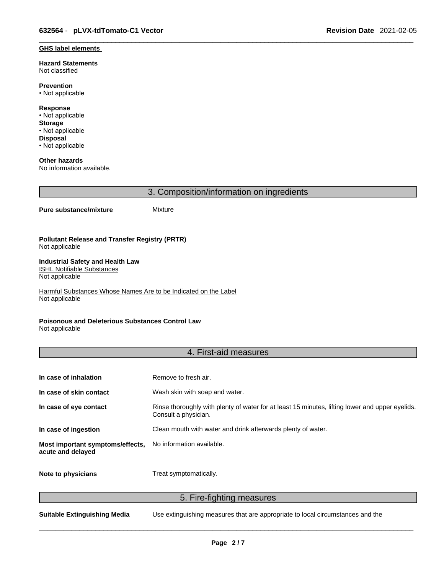#### **GHS label elements**

**Hazard Statements**  Not classified

**Prevention** • Not applicable

**Response** • Not applicable **Storage** • Not applicable **Disposal** • Not applicable

**Other hazards**  No information available.

3. Composition/information on ingredients

#### **Pure substance/mixture** Mixture

**Pollutant Release and Transfer Registry (PRTR)** Not applicable

#### **Industrial Safety and Health Law**  ISHL Notifiable Substances

Not applicable

Harmful Substances Whose Names Are to be Indicated on the Label Not applicable

### **Poisonous and Deleterious Substances Control Law**

Not applicable

### 4. First-aid measures

| In case of inhalation                                 | Remove to fresh air.                                                                                                    |
|-------------------------------------------------------|-------------------------------------------------------------------------------------------------------------------------|
| In case of skin contact                               | Wash skin with soap and water.                                                                                          |
| In case of eye contact                                | Rinse thoroughly with plenty of water for at least 15 minutes, lifting lower and upper eyelids.<br>Consult a physician. |
| In case of ingestion                                  | Clean mouth with water and drink afterwards plenty of water.                                                            |
| Most important symptoms/effects,<br>acute and delayed | No information available.                                                                                               |
| Note to physicians                                    | Treat symptomatically.                                                                                                  |

5. Fire-fighting measures

**Suitable Extinguishing Media** Use extinguishing measures that are appropriate to local circumstances and the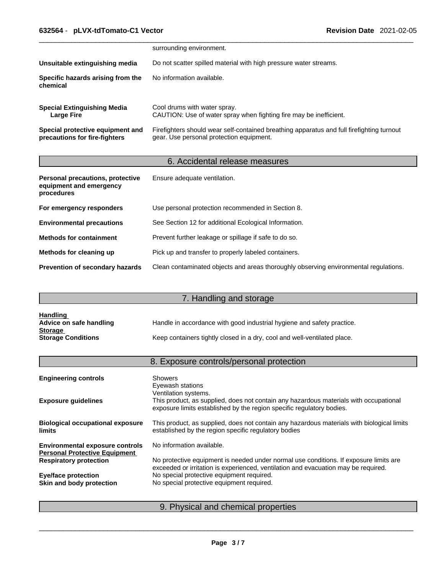|                                                                   | surrounding environment.                                                                                                              |
|-------------------------------------------------------------------|---------------------------------------------------------------------------------------------------------------------------------------|
| Unsuitable extinguishing media                                    | Do not scatter spilled material with high pressure water streams.                                                                     |
| Specific hazards arising from the<br>chemical                     | No information available.                                                                                                             |
| <b>Special Extinguishing Media</b><br>Large Fire                  | Cool drums with water spray.<br>CAUTION: Use of water spray when fighting fire may be inefficient.                                    |
| Special protective equipment and<br>precautions for fire-fighters | Firefighters should wear self-contained breathing apparatus and full firefighting turnout<br>gear. Use personal protection equipment. |

## 6. Accidental release measures

| Personal precautions, protective<br>equipment and emergency<br>procedures | Ensure adequate ventilation.                                                         |
|---------------------------------------------------------------------------|--------------------------------------------------------------------------------------|
| For emergency responders                                                  | Use personal protection recommended in Section 8.                                    |
| <b>Environmental precautions</b>                                          | See Section 12 for additional Ecological Information.                                |
| <b>Methods for containment</b>                                            | Prevent further leakage or spillage if safe to do so.                                |
| Methods for cleaning up                                                   | Pick up and transfer to properly labeled containers.                                 |
| <b>Prevention of secondary hazards</b>                                    | Clean contaminated objects and areas thoroughly observing environmental regulations. |

# 7. Handling and storage

| <u>Handling</u>           |                                                                          |
|---------------------------|--------------------------------------------------------------------------|
| Advice on safe handling   | Handle in accordance with good industrial hygiene and safety practice.   |
| <b>Storage</b>            |                                                                          |
| <b>Storage Conditions</b> | Keep containers tightly closed in a dry, cool and well-ventilated place. |

# 8. Exposure controls/personal protection

| <b>Engineering controls</b>                                                    | <b>Showers</b><br>Eyewash stations<br>Ventilation systems.                                                                                                                  |
|--------------------------------------------------------------------------------|-----------------------------------------------------------------------------------------------------------------------------------------------------------------------------|
| <b>Exposure guidelines</b>                                                     | This product, as supplied, does not contain any hazardous materials with occupational<br>exposure limits established by the region specific regulatory bodies.              |
| <b>Biological occupational exposure</b><br><b>limits</b>                       | This product, as supplied, does not contain any hazardous materials with biological limits<br>established by the region specific regulatory bodies                          |
| <b>Environmental exposure controls</b><br><b>Personal Protective Equipment</b> | No information available.                                                                                                                                                   |
| <b>Respiratory protection</b>                                                  | No protective equipment is needed under normal use conditions. If exposure limits are<br>exceeded or irritation is experienced, ventilation and evacuation may be required. |
| <b>Eye/face protection</b>                                                     | No special protective equipment required.                                                                                                                                   |
| Skin and body protection                                                       | No special protective equipment required.                                                                                                                                   |
|                                                                                |                                                                                                                                                                             |

## 9. Physical and chemical properties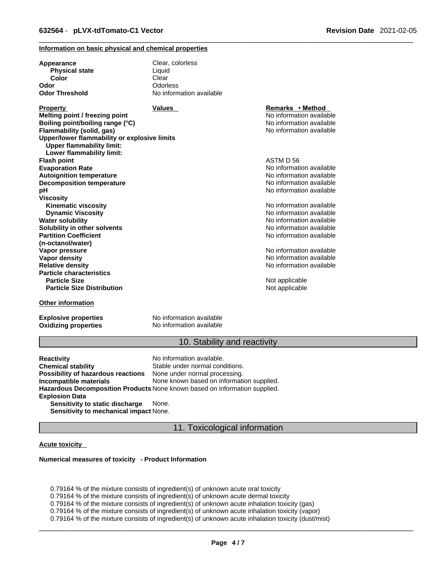### **Information on basic physical and chemical properties**

| Appearance                                                                       | Clear, colorless         |                          |  |
|----------------------------------------------------------------------------------|--------------------------|--------------------------|--|
| <b>Physical state</b>                                                            | Liquid                   |                          |  |
| Color                                                                            | Clear                    |                          |  |
| Odor                                                                             | Odorless                 |                          |  |
| Odor Threshold                                                                   | No information available |                          |  |
| <b>Property</b>                                                                  | <b>Values</b>            | Remarks • Method         |  |
| Melting point / freezing point                                                   |                          | No information available |  |
| Boiling point/boiling range (°C)                                                 |                          | No information available |  |
| Flammability (solid, gas)                                                        |                          | No information available |  |
| Upper/lower flammability or explosive limits<br><b>Upper flammability limit:</b> |                          |                          |  |
| Lower flammability limit:                                                        |                          |                          |  |
| <b>Flash point</b>                                                               |                          | ASTM D 56                |  |
| <b>Evaporation Rate</b>                                                          |                          | No information available |  |
| <b>Autoignition temperature</b>                                                  |                          | No information available |  |
| <b>Decomposition temperature</b>                                                 |                          | No information available |  |
| pН                                                                               |                          | No information available |  |
| Viscosity                                                                        |                          |                          |  |
| <b>Kinematic viscosity</b>                                                       |                          | No information available |  |
| <b>Dynamic Viscosity</b>                                                         |                          | No information available |  |
| <b>Water solubility</b>                                                          |                          | No information available |  |
| Solubility in other solvents                                                     |                          | No information available |  |
| <b>Partition Coefficient</b>                                                     |                          | No information available |  |
| (n-octanol/water)                                                                |                          |                          |  |
| Vapor pressure                                                                   |                          | No information available |  |
| <b>Vapor density</b>                                                             |                          | No information available |  |
| <b>Relative density</b>                                                          |                          | No information available |  |
| <b>Particle characteristics</b>                                                  |                          |                          |  |
| <b>Particle Size</b>                                                             |                          | Not applicable           |  |
| <b>Particle Size Distribution</b>                                                |                          | Not applicable           |  |
| Other information                                                                |                          |                          |  |

**Explosive properties**<br> **Oxidizing properties**<br>
No information available **Oxidizing properties** 

### 10. Stability and reactivity

**Reactivity Reactivity Reactivity Chemical stability No information available.**<br> **Chemical stability Reaction** Stable under normal cond Stable under normal conditions.<br>None under normal processing. **Possibility of hazardous reactions Incompatible materials** None known based on information supplied. **Hazardous Decomposition Products** None known based on information supplied. **Explosion Data Sensitivity to static discharge** None. **Sensitivity to mechanical impact** None.

11. Toxicological information

### **Acute toxicity**

#### **Numerical measures of toxicity - Product Information**

0.79164 % of the mixture consists of ingredient(s) of unknown acute oral toxicity  $0.79164$  % of the mixture consists of ingredient(s) of unknown acute dermal toxicity 0.79164 % of the mixture consists of ingredient(s) of unknown acute inhalation toxicity (gas) 0.79164 % of the mixture consists of ingredient(s) of unknown acute inhalation toxicity (vapor) 0.79164 % of the mixture consists of ingredient(s) of unknown acute inhalation toxicity (dust/mist)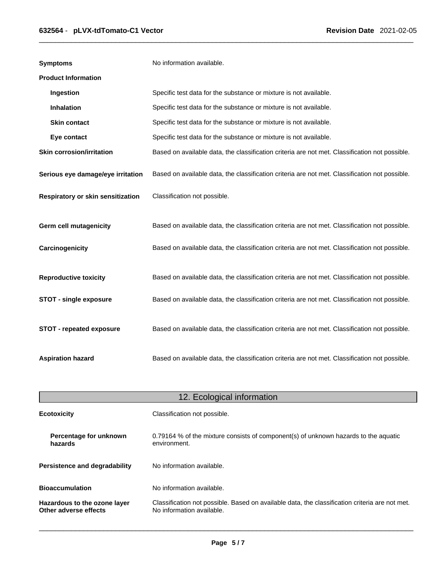| <b>Symptoms</b>                   | No information available.                                                                      |
|-----------------------------------|------------------------------------------------------------------------------------------------|
| <b>Product Information</b>        |                                                                                                |
| Ingestion                         | Specific test data for the substance or mixture is not available.                              |
| <b>Inhalation</b>                 | Specific test data for the substance or mixture is not available.                              |
| <b>Skin contact</b>               | Specific test data for the substance or mixture is not available.                              |
| Eye contact                       | Specific test data for the substance or mixture is not available.                              |
| <b>Skin corrosion/irritation</b>  | Based on available data, the classification criteria are not met. Classification not possible. |
| Serious eye damage/eye irritation | Based on available data, the classification criteria are not met. Classification not possible. |
| Respiratory or skin sensitization | Classification not possible.                                                                   |
| <b>Germ cell mutagenicity</b>     | Based on available data, the classification criteria are not met. Classification not possible. |
| Carcinogenicity                   | Based on available data, the classification criteria are not met. Classification not possible. |
| <b>Reproductive toxicity</b>      | Based on available data, the classification criteria are not met. Classification not possible. |
| <b>STOT - single exposure</b>     | Based on available data, the classification criteria are not met. Classification not possible. |
| STOT - repeated exposure          | Based on available data, the classification criteria are not met. Classification not possible. |
| <b>Aspiration hazard</b>          | Based on available data, the classification criteria are not met. Classification not possible. |

| 12. Ecological information                            |                                                                                                                             |  |
|-------------------------------------------------------|-----------------------------------------------------------------------------------------------------------------------------|--|
| <b>Ecotoxicity</b>                                    | Classification not possible.                                                                                                |  |
| Percentage for unknown<br>hazards                     | 0.79164 % of the mixture consists of component(s) of unknown hazards to the aquatic<br>environment.                         |  |
| <b>Persistence and degradability</b>                  | No information available.                                                                                                   |  |
| <b>Bioaccumulation</b>                                | No information available.                                                                                                   |  |
| Hazardous to the ozone layer<br>Other adverse effects | Classification not possible. Based on available data, the classification criteria are not met.<br>No information available. |  |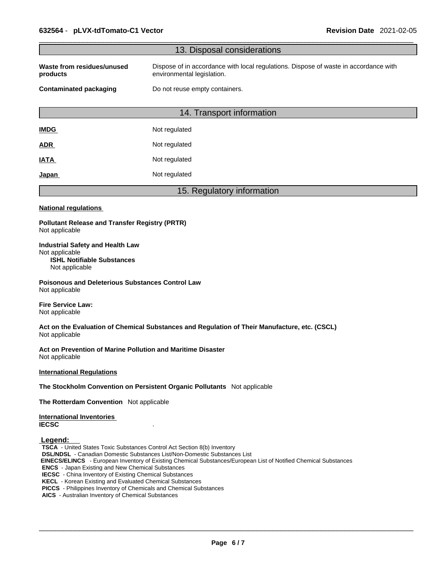|                                                                                                                                                                                                                                                                                                                                                                                                                                                                                                      | 13. Disposal considerations                                                                                        |
|------------------------------------------------------------------------------------------------------------------------------------------------------------------------------------------------------------------------------------------------------------------------------------------------------------------------------------------------------------------------------------------------------------------------------------------------------------------------------------------------------|--------------------------------------------------------------------------------------------------------------------|
| Waste from residues/unused<br>products                                                                                                                                                                                                                                                                                                                                                                                                                                                               | Dispose of in accordance with local regulations. Dispose of waste in accordance with<br>environmental legislation. |
| <b>Contaminated packaging</b>                                                                                                                                                                                                                                                                                                                                                                                                                                                                        | Do not reuse empty containers.                                                                                     |
|                                                                                                                                                                                                                                                                                                                                                                                                                                                                                                      | 14. Transport information                                                                                          |
| <b>IMDG</b>                                                                                                                                                                                                                                                                                                                                                                                                                                                                                          | Not regulated                                                                                                      |
| <b>ADR</b>                                                                                                                                                                                                                                                                                                                                                                                                                                                                                           | Not regulated                                                                                                      |
| <b>IATA</b>                                                                                                                                                                                                                                                                                                                                                                                                                                                                                          | Not regulated                                                                                                      |
| Japan                                                                                                                                                                                                                                                                                                                                                                                                                                                                                                | Not regulated                                                                                                      |
|                                                                                                                                                                                                                                                                                                                                                                                                                                                                                                      | 15. Regulatory information                                                                                         |
| <b>National regulations</b>                                                                                                                                                                                                                                                                                                                                                                                                                                                                          |                                                                                                                    |
| <b>Pollutant Release and Transfer Registry (PRTR)</b><br>Not applicable                                                                                                                                                                                                                                                                                                                                                                                                                              |                                                                                                                    |
| <b>Industrial Safety and Health Law</b><br>Not applicable<br><b>ISHL Notifiable Substances</b><br>Not applicable                                                                                                                                                                                                                                                                                                                                                                                     |                                                                                                                    |
| <b>Poisonous and Deleterious Substances Control Law</b><br>Not applicable                                                                                                                                                                                                                                                                                                                                                                                                                            |                                                                                                                    |
| <b>Fire Service Law:</b><br>Not applicable                                                                                                                                                                                                                                                                                                                                                                                                                                                           |                                                                                                                    |
| Not applicable                                                                                                                                                                                                                                                                                                                                                                                                                                                                                       | Act on the Evaluation of Chemical Substances and Regulation of Their Manufacture, etc. (CSCL)                      |
| Act on Prevention of Marine Pollution and Maritime Disaster<br>Not applicable                                                                                                                                                                                                                                                                                                                                                                                                                        |                                                                                                                    |
| <b>International Regulations</b>                                                                                                                                                                                                                                                                                                                                                                                                                                                                     |                                                                                                                    |
| The Stockholm Convention on Persistent Organic Pollutants Not applicable                                                                                                                                                                                                                                                                                                                                                                                                                             |                                                                                                                    |
| The Rotterdam Convention Not applicable                                                                                                                                                                                                                                                                                                                                                                                                                                                              |                                                                                                                    |
| <b>International Inventories</b><br><b>IECSC</b>                                                                                                                                                                                                                                                                                                                                                                                                                                                     |                                                                                                                    |
| Legend:<br>TSCA - United States Toxic Substances Control Act Section 8(b) Inventory<br><b>DSL/NDSL</b> - Canadian Domestic Substances List/Non-Domestic Substances List<br><b>ENCS</b> - Japan Existing and New Chemical Substances<br><b>IECSC</b> - China Inventory of Existing Chemical Substances<br><b>KECL</b> - Korean Existing and Evaluated Chemical Substances<br>PICCS - Philippines Inventory of Chemicals and Chemical Substances<br>AICS - Australian Inventory of Chemical Substances | EINECS/ELINCS - European Inventory of Existing Chemical Substances/European List of Notified Chemical Substances   |